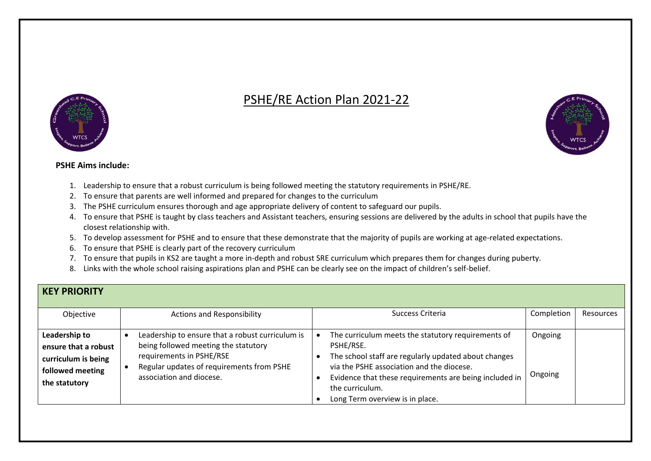## PSHE/RE Action Plan 2021-22





## **PSHE Aims include:**

- 1. Leadership to ensure that a robust curriculum is being followed meeting the statutory requirements in PSHE/RE.
- 2. To ensure that parents are well informed and prepared for changes to the curriculum
- 3. The PSHE curriculum ensures thorough and age appropriate delivery of content to safeguard our pupils.
- 4. To ensure that PSHE is taught by class teachers and Assistant teachers, ensuring sessions are delivered by the adults in school that pupils have the closest relationship with.
- 5. To develop assessment for PSHE and to ensure that these demonstrate that the majority of pupils are working at age-related expectations.
- 6. To ensure that PSHE is clearly part of the recovery curriculum
- 7. To ensure that pupils in KS2 are taught a more in-depth and robust SRE curriculum which prepares them for changes during puberty.
- 8. Links with the whole school raising aspirations plan and PSHE can be clearly see on the impact of children's self-belief.

|  | <b>KEY PRIORITY</b> |
|--|---------------------|
|  |                     |

| Objective                                                                                         | <b>Actions and Responsibility</b>                                                                                                                                                             | Success Criteria                                                                                                                                                                                                                                                                     | Completion         | <b>Resources</b> |
|---------------------------------------------------------------------------------------------------|-----------------------------------------------------------------------------------------------------------------------------------------------------------------------------------------------|--------------------------------------------------------------------------------------------------------------------------------------------------------------------------------------------------------------------------------------------------------------------------------------|--------------------|------------------|
| Leadership to<br>ensure that a robust<br>curriculum is being<br>followed meeting<br>the statutory | Leadership to ensure that a robust curriculum is<br>being followed meeting the statutory<br>requirements in PSHE/RSE<br>Regular updates of requirements from PSHE<br>association and diocese. | The curriculum meets the statutory requirements of<br>PSHE/RSE.<br>The school staff are regularly updated about changes<br>via the PSHE association and the diocese.<br>Evidence that these requirements are being included in<br>the curriculum.<br>Long Term overview is in place. | Ongoing<br>Ongoing |                  |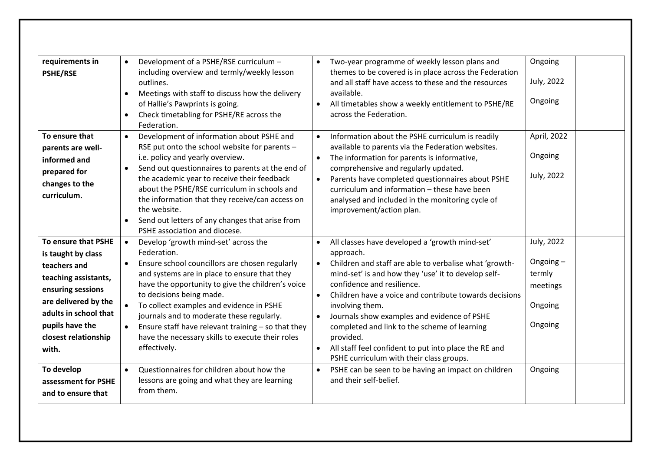| requirements in<br><b>PSHE/RSE</b>                                                                                                                                                                                        | Development of a PSHE/RSE curriculum -<br>$\bullet$<br>including overview and termly/weekly lesson<br>outlines.<br>Meetings with staff to discuss how the delivery<br>$\bullet$<br>of Hallie's Pawprints is going.<br>Check timetabling for PSHE/RE across the<br>Federation.                                                                                                                                                                                                                                                    | Two-year programme of weekly lesson plans and<br>themes to be covered is in place across the Federation<br>and all staff have access to these and the resources<br>available.<br>All timetables show a weekly entitlement to PSHE/RE<br>$\bullet$<br>across the Federation.                                                                                                                                                                                                                                                                                                                                         | Ongoing<br>July, 2022<br>Ongoing                                                 |
|---------------------------------------------------------------------------------------------------------------------------------------------------------------------------------------------------------------------------|----------------------------------------------------------------------------------------------------------------------------------------------------------------------------------------------------------------------------------------------------------------------------------------------------------------------------------------------------------------------------------------------------------------------------------------------------------------------------------------------------------------------------------|---------------------------------------------------------------------------------------------------------------------------------------------------------------------------------------------------------------------------------------------------------------------------------------------------------------------------------------------------------------------------------------------------------------------------------------------------------------------------------------------------------------------------------------------------------------------------------------------------------------------|----------------------------------------------------------------------------------|
| To ensure that<br>parents are well-<br>informed and<br>prepared for<br>changes to the<br>curriculum.                                                                                                                      | Development of information about PSHE and<br>$\bullet$<br>RSE put onto the school website for parents -<br>i.e. policy and yearly overview.<br>Send out questionnaires to parents at the end of<br>the academic year to receive their feedback<br>about the PSHE/RSE curriculum in schools and<br>the information that they receive/can access on<br>the website.<br>Send out letters of any changes that arise from<br>PSHE association and diocese.                                                                            | Information about the PSHE curriculum is readily<br>$\bullet$<br>available to parents via the Federation websites.<br>The information for parents is informative,<br>comprehensive and regularly updated.<br>Parents have completed questionnaires about PSHE<br>curriculum and information - these have been<br>analysed and included in the monitoring cycle of<br>improvement/action plan.                                                                                                                                                                                                                       | April, 2022<br>Ongoing<br>July, 2022                                             |
| To ensure that PSHE<br>is taught by class<br>teachers and<br>teaching assistants,<br>ensuring sessions<br>are delivered by the<br>adults in school that<br>pupils have the<br>closest relationship<br>with.<br>To develop | Develop 'growth mind-set' across the<br>$\bullet$<br>Federation.<br>Ensure school councillors are chosen regularly<br>and systems are in place to ensure that they<br>have the opportunity to give the children's voice<br>to decisions being made.<br>To collect examples and evidence in PSHE<br>journals and to moderate these regularly.<br>Ensure staff have relevant training - so that they<br>have the necessary skills to execute their roles<br>effectively.<br>Questionnaires for children about how the<br>$\bullet$ | All classes have developed a 'growth mind-set'<br>$\bullet$<br>approach.<br>Children and staff are able to verbalise what 'growth-<br>$\bullet$<br>mind-set' is and how they 'use' it to develop self-<br>confidence and resilience.<br>Children have a voice and contribute towards decisions<br>$\bullet$<br>involving them.<br>Journals show examples and evidence of PSHE<br>$\bullet$<br>completed and link to the scheme of learning<br>provided.<br>All staff feel confident to put into place the RE and<br>PSHE curriculum with their class groups.<br>PSHE can be seen to be having an impact on children | July, 2022<br>Ongoing $-$<br>termly<br>meetings<br>Ongoing<br>Ongoing<br>Ongoing |
| assessment for PSHE<br>and to ensure that                                                                                                                                                                                 | lessons are going and what they are learning<br>from them.                                                                                                                                                                                                                                                                                                                                                                                                                                                                       | and their self-belief.                                                                                                                                                                                                                                                                                                                                                                                                                                                                                                                                                                                              |                                                                                  |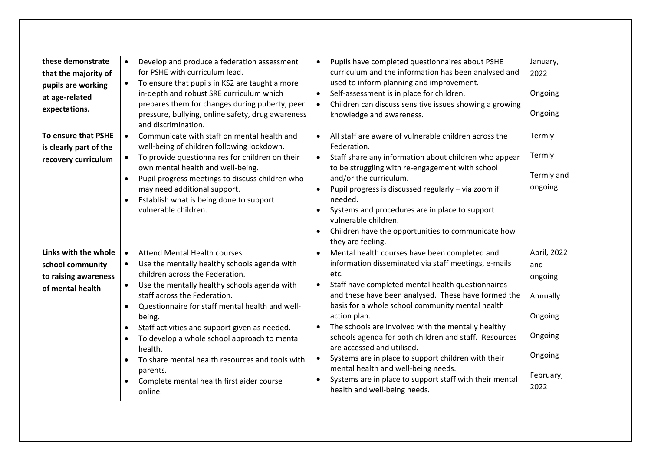| these demonstrate      |           | Develop and produce a federation assessment       |           | Pupils have completed questionnaires about PSHE                                     | January,    |  |
|------------------------|-----------|---------------------------------------------------|-----------|-------------------------------------------------------------------------------------|-------------|--|
| that the majority of   |           | for PSHE with curriculum lead.                    |           | curriculum and the information has been analysed and                                | 2022        |  |
| pupils are working     | $\bullet$ | To ensure that pupils in KS2 are taught a more    |           | used to inform planning and improvement.                                            |             |  |
| at age-related         |           | in-depth and robust SRE curriculum which          | $\bullet$ | Self-assessment is in place for children.                                           | Ongoing     |  |
| expectations.          |           | prepares them for changes during puberty, peer    | $\bullet$ | Children can discuss sensitive issues showing a growing                             |             |  |
|                        |           | pressure, bullying, online safety, drug awareness |           | knowledge and awareness.                                                            | Ongoing     |  |
|                        |           | and discrimination.                               |           |                                                                                     |             |  |
| To ensure that PSHE    | $\bullet$ | Communicate with staff on mental health and       | $\bullet$ | All staff are aware of vulnerable children across the                               | Termly      |  |
| is clearly part of the |           | well-being of children following lockdown.        |           | Federation.                                                                         |             |  |
| recovery curriculum    |           | To provide questionnaires for children on their   | $\bullet$ | Staff share any information about children who appear                               | Termly      |  |
|                        |           | own mental health and well-being.                 |           | to be struggling with re-engagement with school                                     | Termly and  |  |
|                        | $\bullet$ | Pupil progress meetings to discuss children who   |           | and/or the curriculum.                                                              |             |  |
|                        |           | may need additional support.                      | $\bullet$ | Pupil progress is discussed regularly - via zoom if                                 | ongoing     |  |
|                        |           | Establish what is being done to support           |           | needed.                                                                             |             |  |
|                        |           | vulnerable children.                              | $\bullet$ | Systems and procedures are in place to support                                      |             |  |
|                        |           |                                                   |           | vulnerable children.                                                                |             |  |
|                        |           |                                                   | $\bullet$ | Children have the opportunities to communicate how                                  |             |  |
|                        |           |                                                   |           | they are feeling.                                                                   |             |  |
| Links with the whole   | $\bullet$ | <b>Attend Mental Health courses</b>               |           | Mental health courses have been completed and                                       | April, 2022 |  |
| school community       |           | Use the mentally healthy schools agenda with      |           | information disseminated via staff meetings, e-mails                                | and         |  |
| to raising awareness   |           | children across the Federation.                   |           | etc.                                                                                | ongoing     |  |
| of mental health       |           | Use the mentally healthy schools agenda with      | $\bullet$ | Staff have completed mental health questionnaires                                   |             |  |
|                        |           | staff across the Federation.                      |           | and these have been analysed. These have formed the                                 | Annually    |  |
|                        | $\bullet$ | Questionnaire for staff mental health and well-   |           | basis for a whole school community mental health                                    |             |  |
|                        |           | being.                                            |           | action plan.                                                                        | Ongoing     |  |
|                        | $\bullet$ | Staff activities and support given as needed.     |           | The schools are involved with the mentally healthy                                  | Ongoing     |  |
|                        | $\bullet$ | To develop a whole school approach to mental      |           | schools agenda for both children and staff. Resources<br>are accessed and utilised. |             |  |
|                        |           | health.                                           | $\bullet$ | Systems are in place to support children with their                                 | Ongoing     |  |
|                        |           | To share mental health resources and tools with   |           | mental health and well-being needs.                                                 |             |  |
|                        |           | parents.                                          | $\bullet$ | Systems are in place to support staff with their mental                             | February,   |  |
|                        | $\bullet$ | Complete mental health first aider course         |           | health and well-being needs.                                                        | 2022        |  |
|                        |           | online.                                           |           |                                                                                     |             |  |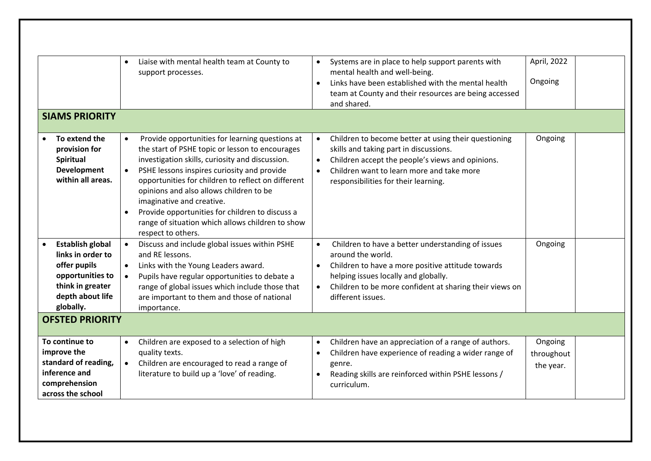| <b>SIAMS PRIORITY</b>                                                                                                                                           | Liaise with mental health team at County to<br>$\bullet$<br>support processes.                                                                                                                                                                                                                                                                                                                                                                                               | April, 2022<br>Systems are in place to help support parents with<br>mental health and well-being.<br>Ongoing<br>Links have been established with the mental health<br>$\bullet$<br>team at County and their resources are being accessed<br>and shared.                                               |
|-----------------------------------------------------------------------------------------------------------------------------------------------------------------|------------------------------------------------------------------------------------------------------------------------------------------------------------------------------------------------------------------------------------------------------------------------------------------------------------------------------------------------------------------------------------------------------------------------------------------------------------------------------|-------------------------------------------------------------------------------------------------------------------------------------------------------------------------------------------------------------------------------------------------------------------------------------------------------|
| To extend the<br>provision for<br>Spiritual<br>Development<br>within all areas.                                                                                 | Provide opportunities for learning questions at<br>$\bullet$<br>the start of PSHE topic or lesson to encourages<br>investigation skills, curiosity and discussion.<br>PSHE lessons inspires curiosity and provide<br>opportunities for children to reflect on different<br>opinions and also allows children to be<br>imaginative and creative.<br>Provide opportunities for children to discuss a<br>range of situation which allows children to show<br>respect to others. | Ongoing<br>Children to become better at using their questioning<br>skills and taking part in discussions.<br>Children accept the people's views and opinions.<br>$\bullet$<br>Children want to learn more and take more<br>$\bullet$<br>responsibilities for their learning.                          |
| <b>Establish global</b><br>links in order to<br>offer pupils<br>opportunities to<br>think in greater<br>depth about life<br>globally.<br><b>OFSTED PRIORITY</b> | Discuss and include global issues within PSHE<br>$\bullet$<br>and RE lessons.<br>Links with the Young Leaders award.<br>Pupils have regular opportunities to debate a<br>$\bullet$<br>range of global issues which include those that<br>are important to them and those of national<br>importance.                                                                                                                                                                          | Children to have a better understanding of issues<br>$\bullet$<br>Ongoing<br>around the world.<br>Children to have a more positive attitude towards<br>$\bullet$<br>helping issues locally and globally.<br>Children to be more confident at sharing their views on<br>$\bullet$<br>different issues. |
| To continue to<br>improve the<br>standard of reading,<br>inference and<br>comprehension<br>across the school                                                    | Children are exposed to a selection of high<br>$\bullet$<br>quality texts.<br>Children are encouraged to read a range of<br>literature to build up a 'love' of reading.                                                                                                                                                                                                                                                                                                      | Children have an appreciation of a range of authors.<br>Ongoing<br>$\bullet$<br>Children have experience of reading a wider range of<br>throughout<br>$\bullet$<br>genre.<br>the year.<br>Reading skills are reinforced within PSHE lessons /<br>$\bullet$<br>curriculum.                             |